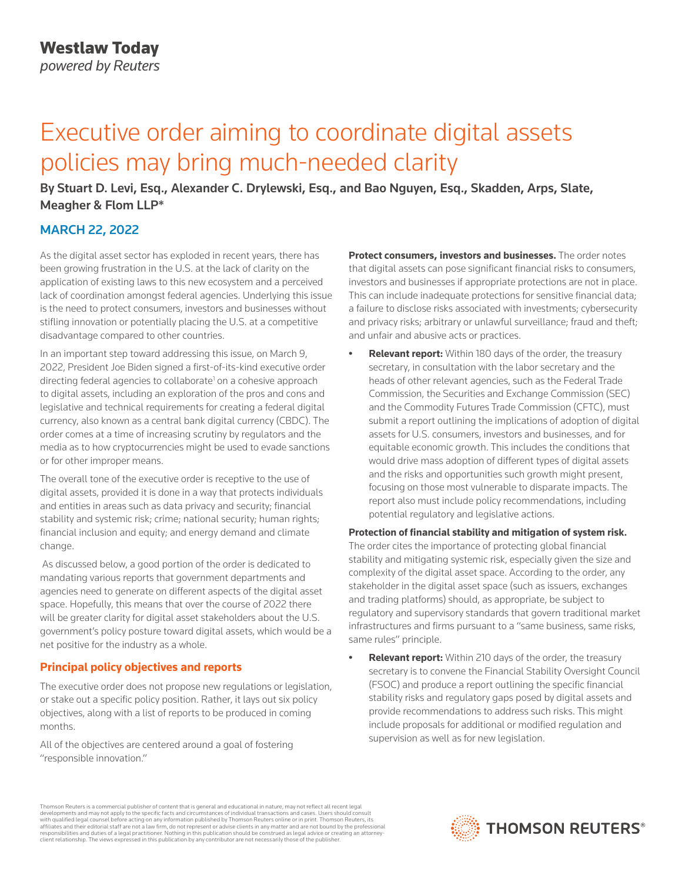# Executive order aiming to coordinate digital assets policies may bring much-needed clarity

By Stuart D. Levi, Esq., Alexander C. Drylewski, Esq., and Bao Nguyen, Esq., Skadden, Arps, Slate, Meagher & Flom LLP\*

# MARCH 22, 2022

As the digital asset sector has exploded in recent years, there has been growing frustration in the U.S. at the lack of clarity on the application of existing laws to this new ecosystem and a perceived lack of coordination amongst federal agencies. Underlying this issue is the need to protect consumers, investors and businesses without stifling innovation or potentially placing the U.S. at a competitive disadvantage compared to other countries.

In an important step toward addressing this issue, on March 9, 2022, President Joe Biden signed a first-of-its-kind executive order directing federal agencies to collaborate<sup>1</sup> on a cohesive approach to digital assets, including an exploration of the pros and cons and legislative and technical requirements for creating a federal digital currency, also known as a central bank digital currency (CBDC). The order comes at a time of increasing scrutiny by regulators and the media as to how cryptocurrencies might be used to evade sanctions or for other improper means.

The overall tone of the executive order is receptive to the use of digital assets, provided it is done in a way that protects individuals and entities in areas such as data privacy and security; financial stability and systemic risk; crime; national security; human rights; financial inclusion and equity; and energy demand and climate change.

 As discussed below, a good portion of the order is dedicated to mandating various reports that government departments and agencies need to generate on different aspects of the digital asset space. Hopefully, this means that over the course of 2022 there will be greater clarity for digital asset stakeholders about the U.S. government's policy posture toward digital assets, which would be a net positive for the industry as a whole.

# **Principal policy objectives and reports**

The executive order does not propose new regulations or legislation, or stake out a specific policy position. Rather, it lays out six policy objectives, along with a list of reports to be produced in coming months.

All of the objectives are centered around a goal of fostering "responsible innovation."

**Protect consumers, investors and businesses.** The order notes that digital assets can pose significant financial risks to consumers, investors and businesses if appropriate protections are not in place. This can include inadequate protections for sensitive financial data; a failure to disclose risks associated with investments; cybersecurity and privacy risks; arbitrary or unlawful surveillance; fraud and theft; and unfair and abusive acts or practices.

**• Relevant report:** Within 180 days of the order, the treasury secretary, in consultation with the labor secretary and the heads of other relevant agencies, such as the Federal Trade Commission, the Securities and Exchange Commission (SEC) and the Commodity Futures Trade Commission (CFTC), must submit a report outlining the implications of adoption of digital assets for U.S. consumers, investors and businesses, and for equitable economic growth. This includes the conditions that would drive mass adoption of different types of digital assets and the risks and opportunities such growth might present, focusing on those most vulnerable to disparate impacts. The report also must include policy recommendations, including potential regulatory and legislative actions.

**Protection of financial stability and mitigation of system risk.**  The order cites the importance of protecting global financial stability and mitigating systemic risk, especially given the size and complexity of the digital asset space. According to the order, any stakeholder in the digital asset space (such as issuers, exchanges and trading platforms) should, as appropriate, be subject to regulatory and supervisory standards that govern traditional market infrastructures and firms pursuant to a "same business, same risks, same rules" principle.

**• Relevant report:** Within 210 days of the order, the treasury secretary is to convene the Financial Stability Oversight Council (FSOC) and produce a report outlining the specific financial stability risks and regulatory gaps posed by digital assets and provide recommendations to address such risks. This might include proposals for additional or modified regulation and supervision as well as for new legislation.

Thomson Reuters is a commercial publisher of content that is general and educational in nature, may not reflect all recent legal developments and may not apply to the specific facts and circumstances of individual transactions and cases. Users should consult<br>with qualified legal counsel before acting on any information published by Thomson Reuters o responsibilities and duties of a legal practitioner. Nothing in this publication should be construed as legal advice or creating an attorneyclient relationship. The views expressed in this publication by any contributor are not necessarily those of the publisher.

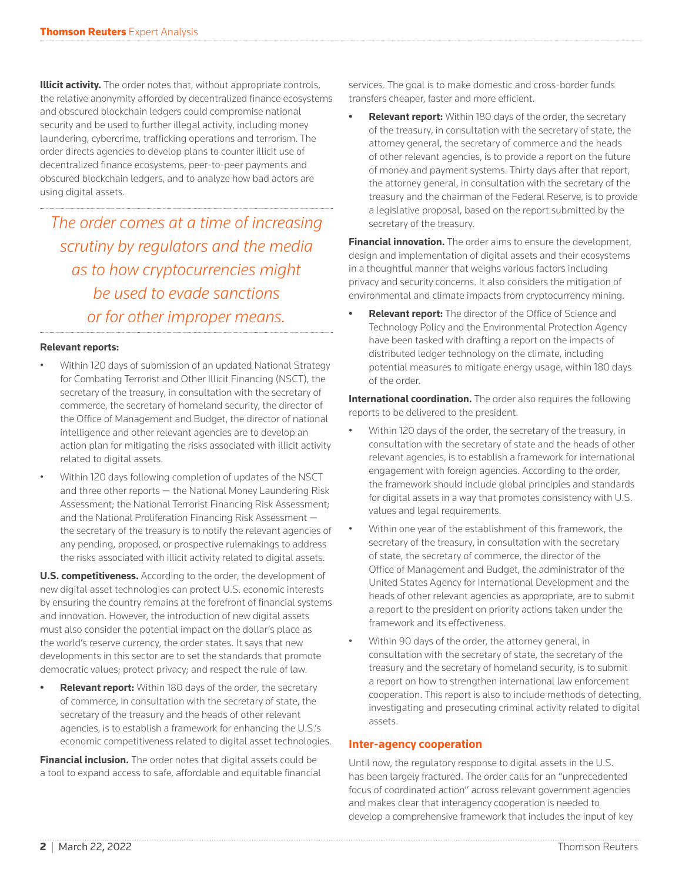**Illicit activity.** The order notes that, without appropriate controls, the relative anonymity afforded by decentralized finance ecosystems and obscured blockchain ledgers could compromise national security and be used to further illegal activity, including money laundering, cybercrime, trafficking operations and terrorism. The order directs agencies to develop plans to counter illicit use of decentralized finance ecosystems, peer-to-peer payments and obscured blockchain ledgers, and to analyze how bad actors are using digital assets.

*The order comes at a time of increasing scrutiny by regulators and the media as to how cryptocurrencies might be used to evade sanctions or for other improper means.*

#### **Relevant reports:**

- Within 120 days of submission of an updated National Strategy for Combating Terrorist and Other Illicit Financing (NSCT), the secretary of the treasury, in consultation with the secretary of commerce, the secretary of homeland security, the director of the Office of Management and Budget, the director of national intelligence and other relevant agencies are to develop an action plan for mitigating the risks associated with illicit activity related to digital assets.
- Within 120 days following completion of updates of the NSCT and three other reports — the National Money Laundering Risk Assessment; the National Terrorist Financing Risk Assessment; and the National Proliferation Financing Risk Assessment the secretary of the treasury is to notify the relevant agencies of any pending, proposed, or prospective rulemakings to address the risks associated with illicit activity related to digital assets.

**U.S. competitiveness.** According to the order, the development of new digital asset technologies can protect U.S. economic interests by ensuring the country remains at the forefront of financial systems and innovation. However, the introduction of new digital assets must also consider the potential impact on the dollar's place as the world's reserve currency, the order states. It says that new developments in this sector are to set the standards that promote democratic values; protect privacy; and respect the rule of law.

**Relevant report:** Within 180 days of the order, the secretary of commerce, in consultation with the secretary of state, the secretary of the treasury and the heads of other relevant agencies, is to establish a framework for enhancing the U.S.'s economic competitiveness related to digital asset technologies.

**Financial inclusion.** The order notes that digital assets could be a tool to expand access to safe, affordable and equitable financial services. The goal is to make domestic and cross-border funds transfers cheaper, faster and more efficient.

**• Relevant report:** Within 180 days of the order, the secretary of the treasury, in consultation with the secretary of state, the attorney general, the secretary of commerce and the heads of other relevant agencies, is to provide a report on the future of money and payment systems. Thirty days after that report, the attorney general, in consultation with the secretary of the treasury and the chairman of the Federal Reserve, is to provide a legislative proposal, based on the report submitted by the secretary of the treasury.

**Financial innovation.** The order aims to ensure the development, design and implementation of digital assets and their ecosystems in a thoughtful manner that weighs various factors including privacy and security concerns. It also considers the mitigation of environmental and climate impacts from cryptocurrency mining.

**• Relevant report:** The director of the Office of Science and Technology Policy and the Environmental Protection Agency have been tasked with drafting a report on the impacts of distributed ledger technology on the climate, including potential measures to mitigate energy usage, within 180 days of the order.

**International coordination.** The order also requires the following reports to be delivered to the president.

- Within 120 days of the order, the secretary of the treasury, in consultation with the secretary of state and the heads of other relevant agencies, is to establish a framework for international engagement with foreign agencies. According to the order, the framework should include global principles and standards for digital assets in a way that promotes consistency with U.S. values and legal requirements.
- Within one year of the establishment of this framework, the secretary of the treasury, in consultation with the secretary of state, the secretary of commerce, the director of the Office of Management and Budget, the administrator of the United States Agency for International Development and the heads of other relevant agencies as appropriate, are to submit a report to the president on priority actions taken under the framework and its effectiveness.
- Within 90 days of the order, the attorney general, in consultation with the secretary of state, the secretary of the treasury and the secretary of homeland security, is to submit a report on how to strengthen international law enforcement cooperation. This report is also to include methods of detecting, investigating and prosecuting criminal activity related to digital assets.

### **Inter-agency cooperation**

Until now, the regulatory response to digital assets in the U.S. has been largely fractured. The order calls for an "unprecedented focus of coordinated action" across relevant government agencies and makes clear that interagency cooperation is needed to develop a comprehensive framework that includes the input of key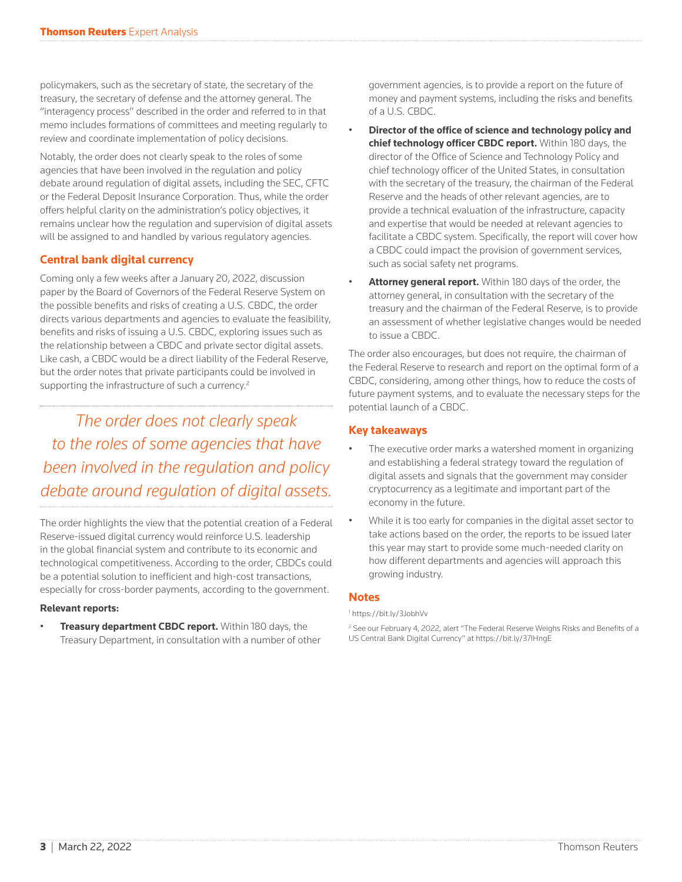policymakers, such as the secretary of state, the secretary of the treasury, the secretary of defense and the attorney general. The "interagency process" described in the order and referred to in that memo includes formations of committees and meeting regularly to review and coordinate implementation of policy decisions.

Notably, the order does not clearly speak to the roles of some agencies that have been involved in the regulation and policy debate around regulation of digital assets, including the SEC, CFTC or the Federal Deposit Insurance Corporation. Thus, while the order offers helpful clarity on the administration's policy objectives, it remains unclear how the regulation and supervision of digital assets will be assigned to and handled by various regulatory agencies.

# **Central bank digital currency**

Coming only a few weeks after a January 20, 2022, discussion paper by the Board of Governors of the Federal Reserve System on the possible benefits and risks of creating a U.S. CBDC, the order directs various departments and agencies to evaluate the feasibility, benefits and risks of issuing a U.S. CBDC, exploring issues such as the relationship between a CBDC and private sector digital assets. Like cash, a CBDC would be a direct liability of the Federal Reserve, but the order notes that private participants could be involved in supporting the infrastructure of such a currency.<sup>2</sup>

*The order does not clearly speak to the roles of some agencies that have been involved in the regulation and policy debate around regulation of digital assets.*

The order highlights the view that the potential creation of a Federal Reserve-issued digital currency would reinforce U.S. leadership in the global financial system and contribute to its economic and technological competitiveness. According to the order, CBDCs could be a potential solution to inefficient and high-cost transactions, especially for cross-border payments, according to the government.

#### **Relevant reports:**

• **Treasury department CBDC report.** Within 180 days, the Treasury Department, in consultation with a number of other government agencies, is to provide a report on the future of money and payment systems, including the risks and benefits of a U.S. CBDC.

- **Director of the office of science and technology policy and chief technology officer CBDC report.** Within 180 days, the director of the Office of Science and Technology Policy and chief technology officer of the United States, in consultation with the secretary of the treasury, the chairman of the Federal Reserve and the heads of other relevant agencies, are to provide a technical evaluation of the infrastructure, capacity and expertise that would be needed at relevant agencies to facilitate a CBDC system. Specifically, the report will cover how a CBDC could impact the provision of government services, such as social safety net programs.
- **Attorney general report.** Within 180 days of the order, the attorney general, in consultation with the secretary of the treasury and the chairman of the Federal Reserve, is to provide an assessment of whether legislative changes would be needed to issue a CBDC.

The order also encourages, but does not require, the chairman of the Federal Reserve to research and report on the optimal form of a CBDC, considering, among other things, how to reduce the costs of future payment systems, and to evaluate the necessary steps for the potential launch of a CBDC.

# **Key takeaways**

- The executive order marks a watershed moment in organizing and establishing a federal strategy toward the regulation of digital assets and signals that the government may consider cryptocurrency as a legitimate and important part of the economy in the future.
- While it is too early for companies in the digital asset sector to take actions based on the order, the reports to be issued later this year may start to provide some much-needed clarity on how different departments and agencies will approach this growing industry.

### **Notes**

1 https://bit.ly/3JobhVv

<sup>2</sup> See our February 4, 2022, alert "The Federal Reserve Weighs Risks and Benefits of a US Central Bank Digital Currency" at https://bit.ly/37IHngE